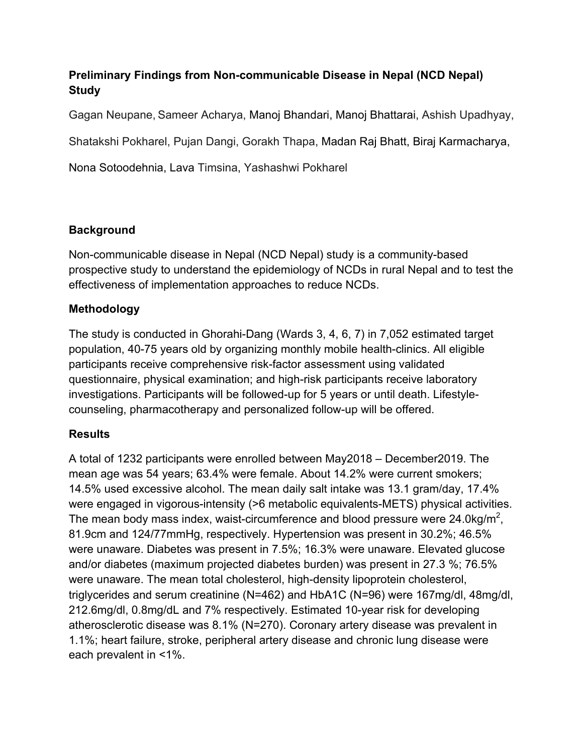# **Preliminary Findings from Non-communicable Disease in Nepal (NCD Nepal) Study**

Gagan Neupane, Sameer Acharya, Manoj Bhandari, Manoj Bhattarai, Ashish Upadhyay,

Shatakshi Pokharel, Pujan Dangi, Gorakh Thapa, Madan Raj Bhatt, Biraj Karmacharya,

Nona Sotoodehnia, Lava Timsina, Yashashwi Pokharel

# **Background**

Non-communicable disease in Nepal (NCD Nepal) study is a community-based prospective study to understand the epidemiology of NCDs in rural Nepal and to test the effectiveness of implementation approaches to reduce NCDs.

## **Methodology**

The study is conducted in Ghorahi-Dang (Wards 3, 4, 6, 7) in 7,052 estimated target population, 40-75 years old by organizing monthly mobile health-clinics. All eligible participants receive comprehensive risk-factor assessment using validated questionnaire, physical examination; and high-risk participants receive laboratory investigations. Participants will be followed-up for 5 years or until death. Lifestylecounseling, pharmacotherapy and personalized follow-up will be offered.

#### **Results**

A total of 1232 participants were enrolled between May2018 – December2019. The mean age was 54 years; 63.4% were female. About 14.2% were current smokers; 14.5% used excessive alcohol. The mean daily salt intake was 13.1 gram/day, 17.4% were engaged in vigorous-intensity (>6 metabolic equivalents-METS) physical activities. The mean body mass index, waist-circumference and blood pressure were 24.0kg/m<sup>2</sup>, 81.9cm and 124/77mmHg, respectively. Hypertension was present in 30.2%; 46.5% were unaware. Diabetes was present in 7.5%; 16.3% were unaware. Elevated glucose and/or diabetes (maximum projected diabetes burden) was present in 27.3 %; 76.5% were unaware. The mean total cholesterol, high-density lipoprotein cholesterol, triglycerides and serum creatinine (N=462) and HbA1C (N=96) were 167mg/dl, 48mg/dl, 212.6mg/dl, 0.8mg/dL and 7% respectively. Estimated 10-year risk for developing atherosclerotic disease was 8.1% (N=270). Coronary artery disease was prevalent in 1.1%; heart failure, stroke, peripheral artery disease and chronic lung disease were each prevalent in <1%.